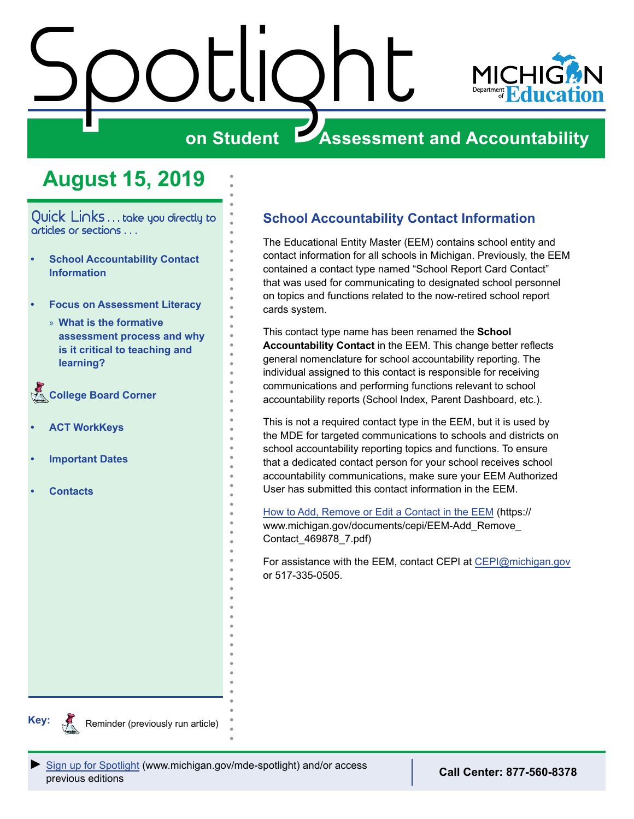# <span id="page-0-0"></span>Spotlight



# **on Student Assessment and Accountability**

# **August 15, 2019**

Quick Links . . . take you directly to articles or sections . . .

- **• School Accountability Contact Information**
- **• [Focus on Assessment Literacy](#page-1-0)**
	- » **[What is the formative](#page-1-0)  [assessment process and why](#page-1-0)  [is it critical to teaching and](#page-1-0)  [learning?](#page-1-0)**

Reminders **[College Board Corner](#page-2-0)** 

- **• [ACT WorkKeys](#page-3-0)**
- **• [Important Dates](#page-4-0)**
- **• [Contacts](#page-5-0)**

# **School Accountability Contact Information**

The Educational Entity Master (EEM) contains school entity and contact information for all schools in Michigan. Previously, the EEM contained a contact type named "School Report Card Contact" that was used for communicating to designated school personnel on topics and functions related to the now-retired school report cards system.

This contact type name has been renamed the **School Accountability Contact** in the EEM. This change better reflects general nomenclature for school accountability reporting. The individual assigned to this contact is responsible for receiving communications and performing functions relevant to school accountability reports (School Index, Parent Dashboard, etc.).

This is not a required contact type in the EEM, but it is used by the MDE for targeted communications to schools and districts on school accountability reporting topics and functions. To ensure that a dedicated contact person for your school receives school accountability communications, make sure your EEM Authorized User has submitted this contact information in the EEM.

[How to Add, Remove or Edit a Contact in the EEM](https://www.michigan.gov/documents/cepi/EEM-Add_Remove_Contact_469878_7.pdf) (https:// www.michigan.gov/documents/cepi/EEM-Add\_Remove\_ Contact\_469878\_7.pdf)

For assistance with the EEM, contact CEPI at [CEPI@michigan.gov](mailto:CEPI%40michigan.gov?subject=) or 517-335-0505.



Reminder (previously run article)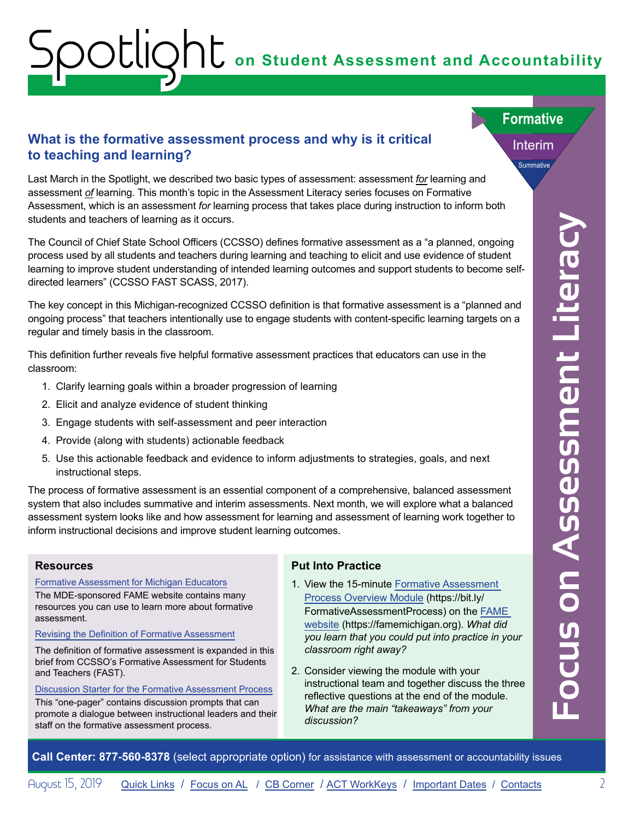# <span id="page-1-0"></span>**on Student Assessment and Accountability** Spotlight

## <span id="page-1-1"></span>**What is the formative assessment process and why is it critical <b>Interim to teaching and learning?**

Last March in the Spotlight, we described two basic types of assessment: assessment *for* learning and assessment *of* learning. This month's topic in the Assessment Literacy series focuses on Formative Assessment, which is an assessment *for* learning process that takes place during instruction to inform both students and teachers of learning as it occurs.

ationens and teachers of learning as it occurs.<br>
The Count of Chief Share School Offices (CCSSO) defines formative assessment as a "a planned, organing<br>
merivan to marrow anticate of the martin of a finder and support stud The Council of Chief State School Officers (CCSSO) defines formative assessment as a "a planned, ongoing process used by all students and teachers during learning and teaching to elicit and use evidence of student learning to improve student understanding of intended learning outcomes and support students to become selfdirected learners" (CCSSO FAST SCASS, 2017).

The key concept in this Michigan-recognized CCSSO definition is that formative assessment is a "planned and ongoing process" that teachers intentionally use to engage students with content-specific learning targets on a regular and timely basis in the classroom.

This definition further reveals five helpful formative assessment practices that educators can use in the classroom:

- 1. Clarify learning goals within a broader progression of learning
- 2. Elicit and analyze evidence of student thinking
- 3. Engage students with self-assessment and peer interaction
- 4. Provide (along with students) actionable feedback
- 5. Use this actionable feedback and evidence to inform adjustments to strategies, goals, and next instructional steps.

The process of formative assessment is an essential component of a comprehensive, balanced assessment system that also includes summative and interim assessments. Next month, we will explore what a balanced assessment system looks like and how assessment for learning and assessment of learning work together to inform instructional decisions and improve student learning outcomes.

#### **Resources**

[Formative Assessment for Michigan Educators](https://famemichigan.org/)

The MDE-sponsored FAME website contains many resources you can use to learn more about formative assessment.

[Revising the Definition of Formative Assessment](https://www.michigan.gov/documents/mde/Revising_the_Definition_of_Formative_Assessment_627118_7.pdf)

The definition of formative assessment is expanded in this brief from CCSSO's Formative Assessment for Students and Teachers (FAST).

[Discussion Starter for the Formative Assessment Process](https://www.michigan.gov/documents/mde/Formative_Assessment_Process_handout_one-pager_April_2019_653625_7.pdf)

This "one-pager" contains discussion prompts that can promote a dialogue between instructional leaders and their staff on the formative assessment process.

#### **Put Into Practice**

- 1. View the 15-minute [Formative Assessment](https://bit.ly/FormativeAssessmentProcess) [Process Overview Module](https://bit.ly/FormativeAssessmentProcess) (https://bit.ly/ FormativeAssessmentProcess) on the [FAME](https://famemichigan.org/) [website](https://famemichigan.org/) (https://famemichigan.org). *What did you learn that you could put into practice in your classroom right away?*
- 2. Consider viewing the module with your instructional team and together discuss the three reflective questions at the end of the module. *What are the main "takeaways" from your discussion?*

Summative

**Formative**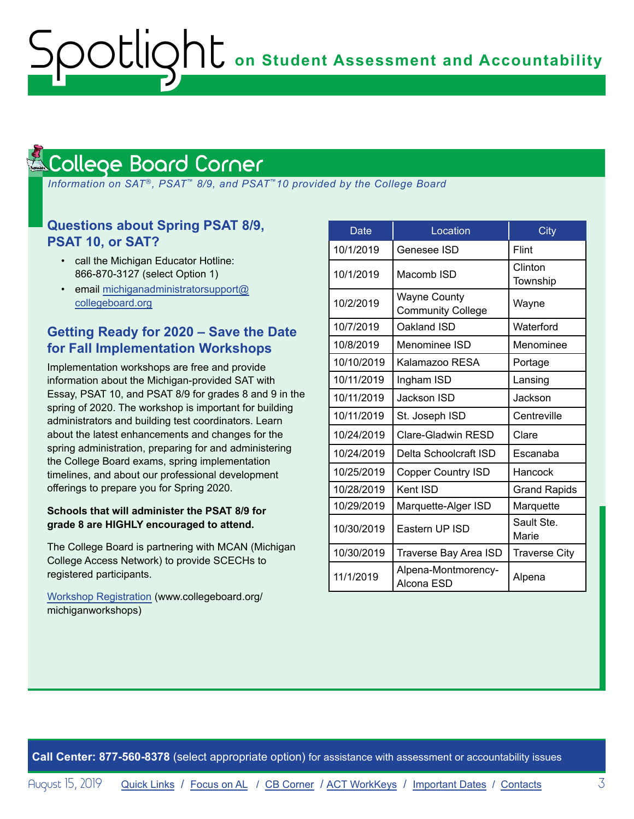**OC** on Student Assessment and Accountability

#### <span id="page-2-1"></span>College Board Corner Reminders

<span id="page-2-0"></span>ootlic

 *Information on SAT*®*, PSAT*™ *8/9, and PSAT*™*10 provided by the College Board*

### **Questions about Spring PSAT 8/9, PSAT 10, or SAT?**

- call the Michigan Educator Hotline: 866-870-3127 (select Option 1)
- email [michiganadministratorsupport@](mailto:michiganadministratorsupport%40collegeboard.org?subject=) [collegeboard.org](mailto:michiganadministratorsupport%40collegeboard.org?subject=)

## **Getting Ready for 2020 – Save the Date for Fall Implementation Workshops**

Implementation workshops are free and provide information about the Michigan-provided SAT with Essay, PSAT 10, and PSAT 8/9 for grades 8 and 9 in the spring of 2020. The workshop is important for building administrators and building test coordinators. Learn about the latest enhancements and changes for the spring administration, preparing for and administering the College Board exams, spring implementation timelines, and about our professional development offerings to prepare you for Spring 2020.

#### **Schools that will administer the PSAT 8/9 for grade 8 are HIGHLY encouraged to attend.**

The College Board is partnering with MCAN (Michigan College Access Network) to provide SCECHs to registered participants.

[Workshop Registration](http://www.collegeboard.org/michiganworkshops) (www.collegeboard.org/ michiganworkshops)

| Date       | Location                                        | City                 |
|------------|-------------------------------------------------|----------------------|
| 10/1/2019  | Genesee ISD                                     | Flint                |
| 10/1/2019  | Macomb ISD                                      | Clinton<br>Township  |
| 10/2/2019  | <b>Wayne County</b><br><b>Community College</b> | Wayne                |
| 10/7/2019  | Oakland ISD                                     | Waterford            |
| 10/8/2019  | Menominee ISD                                   | Menominee            |
| 10/10/2019 | Kalamazoo RESA                                  | Portage              |
| 10/11/2019 | Ingham ISD                                      | Lansing              |
| 10/11/2019 | Jackson ISD                                     | Jackson              |
| 10/11/2019 | St. Joseph ISD                                  | Centreville          |
| 10/24/2019 | Clare-Gladwin RESD                              | Clare                |
| 10/24/2019 | Delta Schoolcraft ISD                           | Escanaba             |
| 10/25/2019 | <b>Copper Country ISD</b>                       | Hancock              |
| 10/28/2019 | Kent ISD                                        | <b>Grand Rapids</b>  |
| 10/29/2019 | Marquette-Alger ISD                             | Marquette            |
| 10/30/2019 | Eastern UP ISD                                  | Sault Ste.<br>Marie  |
| 10/30/2019 | Traverse Bay Area ISD                           | <b>Traverse City</b> |
| 11/1/2019  | Alpena-Montmorency-<br>Alcona ESD               | Alpena               |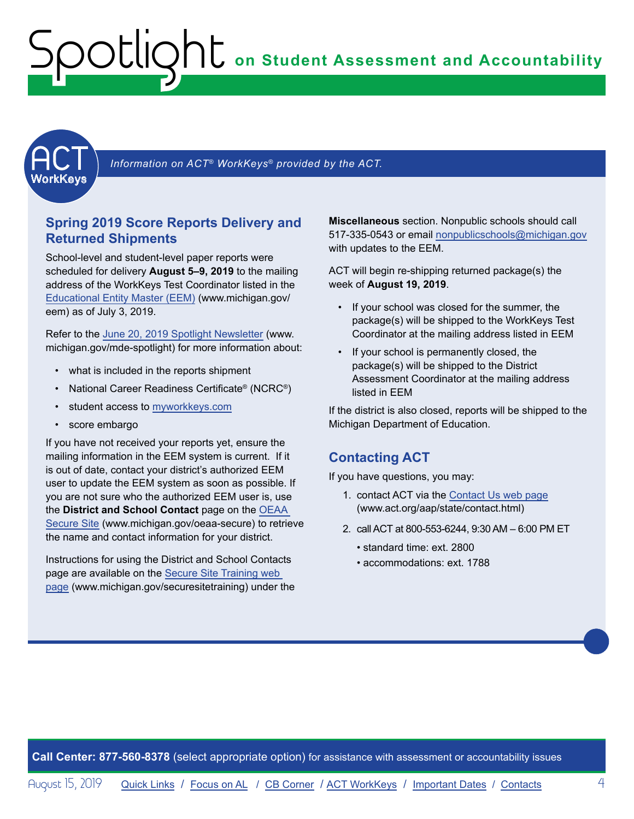# <span id="page-3-0"></span>**on Student Assessment and Accountability** Spotlight



Information on ACT<sup>®</sup> WorkKeys<sup>®</sup> provided by the ACT.

#### **Spring 2019 Score Reports Delivery and Returned Shipments**

School-level and student-level paper reports were scheduled for delivery **August 5–9, 2019** to the mailing address of the WorkKeys Test Coordinator listed in the [Educational Entity Master \(EEM\)](www.michigan.gov/EEM) (www.michigan.gov/ eem) as of July 3, 2019.

Refer to the [June 20, 2019 Spotlight Newsletter](https://www.michigan.gov/documents/mde/Spotlight_6-20-19_658668_7.pdf) (www. michigan.gov/mde-spotlight) for more information about:

- what is included in the reports shipment
- National Career Readiness Certificate® (NCRC®)
- student access to [myworkkeys.com](http://www.myworkkeys.com)
- score embargo

If you have not received your reports yet, ensure the mailing information in the EEM system is current. If it is out of date, contact your district's authorized EEM user to update the EEM system as soon as possible. If you are not sure who the authorized EEM user is, use the **District and School Contact** page on the [OEAA](http://www.michigan.gov/oeaa-secure)  [Secure Site](http://www.michigan.gov/oeaa-secure) (www.michigan.gov/oeaa-secure) to retrieve the name and contact information for your district.

Instructions for using the District and School Contacts page are available on the [Secure Site Training web](http://www.michigan.gov/securesitetraining)  [page](http://www.michigan.gov/securesitetraining) (www.michigan.gov/securesitetraining) under the

**Miscellaneous** section. Nonpublic schools should call 517-335-0543 or email [nonpublicschools@michigan.gov](mailto:nonpublicschools%40michigan.gov?subject=) with updates to the EEM.

ACT will begin re-shipping returned package(s) the week of **August 19, 2019**.

- If your school was closed for the summer, the package(s) will be shipped to the WorkKeys Test Coordinator at the mailing address listed in EEM
- If your school is permanently closed, the package(s) will be shipped to the District Assessment Coordinator at the mailing address listed in EEM

If the district is also closed, reports will be shipped to the Michigan Department of Education.

#### **Contacting ACT**

If you have questions, you may:

- 1. contact ACT via the [Contact Us web page](http://www.act.org/aap/state/contact.html) (<www.act.org/aap/state/contact.html>)
- 2. call ACT at 800-553-6244, 9:30 AM 6:00 PM ET
	- standard time: ext. 2800
	- accommodations: ext. 1788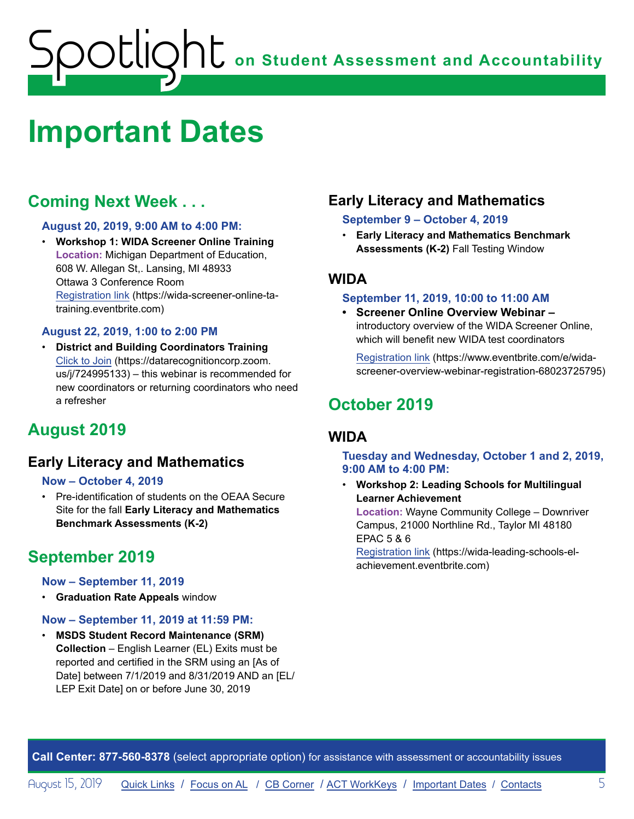# <span id="page-4-0"></span>**on Student Assessment and Accountability** ootlig

# <span id="page-4-1"></span>**Important Dates**

# **Coming Next Week . . .**

#### **August 20, 2019, 9:00 AM to 4:00 PM:**

• **Workshop 1: WIDA Screener Online Training Location:** Michigan Department of Education, 608 W. Allegan St,. Lansing, MI 48933 Ottawa 3 Conference Room [Registration link](https://wida-screener-online-ta-training.eventbrite.com) (https://wida-screener-online-tatraining.eventbrite.com)

#### **August 22, 2019, 1:00 to 2:00 PM**

• **District and Building Coordinators Training**  [Click to Join](https://datarecognitioncorp.zoom.us/j/724995133) (https://datarecognitioncorp.zoom. us/j/724995133) – this webinar is recommended for new coordinators or returning coordinators who need a refresher

# **August 2019**

## **Early Literacy and Mathematics**

#### **Now – October 4, 2019**

• Pre-identification of students on the OEAA Secure Site for the fall **Early Literacy and Mathematics Benchmark Assessments (K-2)**

# **September 2019**

#### **Now – September 11, 2019**

• **Graduation Rate Appeals** window

#### **Now – September 11, 2019 at 11:59 PM:**

• **MSDS Student Record Maintenance (SRM) Collection** – English Learner (EL) Exits must be reported and certified in the SRM using an [As of Date] between 7/1/2019 and 8/31/2019 AND an [EL/ LEP Exit Date] on or before June 30, 2019

## **Early Literacy and Mathematics**

#### **September 9 – October 4, 2019**

• **Early Literacy and Mathematics Benchmark Assessments (K-2)** Fall Testing Window

## **WIDA**

#### **September 11, 2019, 10:00 to 11:00 AM**

**• Screener Online Overview Webinar –**  introductory overview of the WIDA Screener Online, which will benefit new WIDA test coordinators

[Registration link](https://www.eventbrite.com/e/wida-screener-overview-webinar-registration-68023725795) (https://www.eventbrite.com/e/widascreener-overview-webinar-registration-68023725795)

# **October 2019**

## **WIDA**

#### **Tuesday and Wednesday, October 1 and 2, 2019, 9:00 AM to 4:00 PM:**

• **Workshop 2: Leading Schools for Multilingual Learner Achievement** 

**Location:** Wayne Community College – Downriver Campus, 21000 Northline Rd., Taylor MI 48180 EPAC 5 & 6

[Registration link](https://wida-leading-schools-el-achievement.eventbrite.com) (https://wida-leading-schools-elachievement.eventbrite.com)